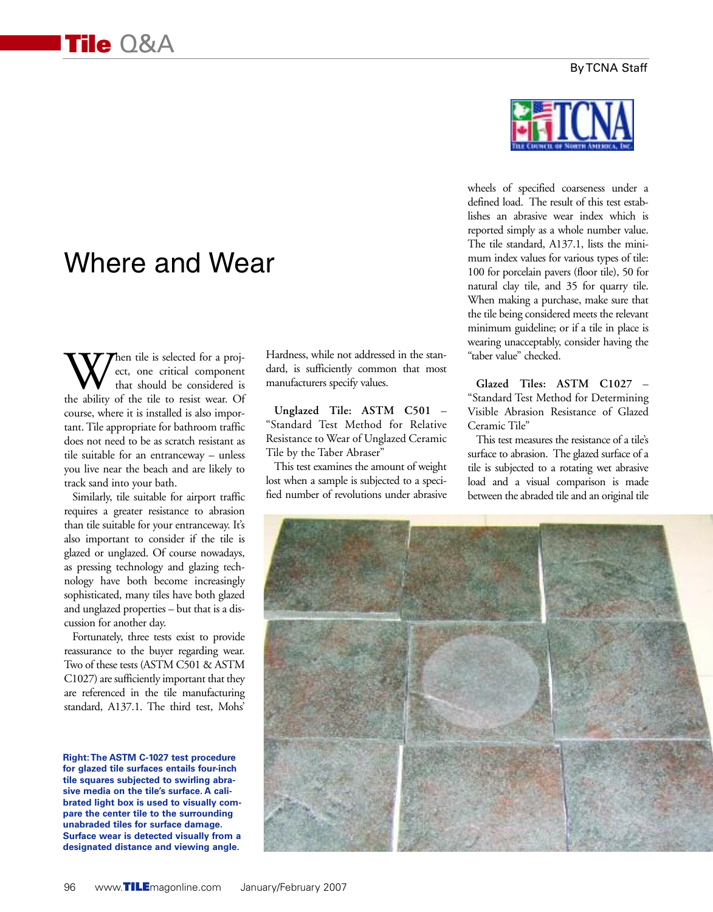# Where and Wear

When tile is selected for a proj-<br>that should be considered is<br>the ability of the tile to resist wear. Of ect, one critical component that should be considered is course, where it is installed is also important. Tile appropriate for bathroom traffic does not need to be as scratch resistant as tile suitable for an entranceway – unless you live near the beach and are likely to track sand into your bath.

Similarly, tile suitable for airport traffic requires a greater resistance to abrasion than tile suitable for your entranceway. It's also important to consider if the tile is glazed or unglazed. Of course nowadays, as pressing technology and glazing technology have both become increasingly sophisticated, many tiles have both glazed and unglazed properties – but that is a discussion for another day.

Fortunately, three tests exist to provide reassurance to the buyer regarding wear. Two of these tests (ASTM C501 & ASTM C1027) are sufficiently important that they are referenced in the tile manufacturing standard, A137.1. The third test, Mohs'

**Right:The ASTM C-1027 test procedure for glazed tile surfaces entails four-inch tile squares subjected to swirling abrasive media on the tile's surface. A calibrated light box is used to visually compare the center tile to the surrounding unabraded tiles for surface damage. Surface wear is detected visually from a designated distance and viewing angle.**

Hardness, while not addressed in the standard, is sufficiently common that most manufacturers specify values.

**Unglazed Tile: ASTM C501** – "Standard Test Method for Relative Resistance to Wear of Unglazed Ceramic Tile by the Taber Abraser"

This test examines the amount of weight lost when a sample is subjected to a specified number of revolutions under abrasive



wheels of specified coarseness under a defined load. The result of this test establishes an abrasive wear index which is reported simply as a whole number value. The tile standard, A137.1, lists the minimum index values for various types of tile: 100 for porcelain pavers (floor tile), 50 for natural clay tile, and 35 for quarry tile. When making a purchase, make sure that the tile being considered meets the relevant minimum guideline; or if a tile in place is wearing unacceptably, consider having the "taber value" checked.

**Glazed Tiles: ASTM C1027** – "Standard Test Method for Determining Visible Abrasion Resistance of Glazed Ceramic Tile"

This test measures the resistance of a tile's surface to abrasion. The glazed surface of a tile is subjected to a rotating wet abrasive load and a visual comparison is made between the abraded tile and an original tile